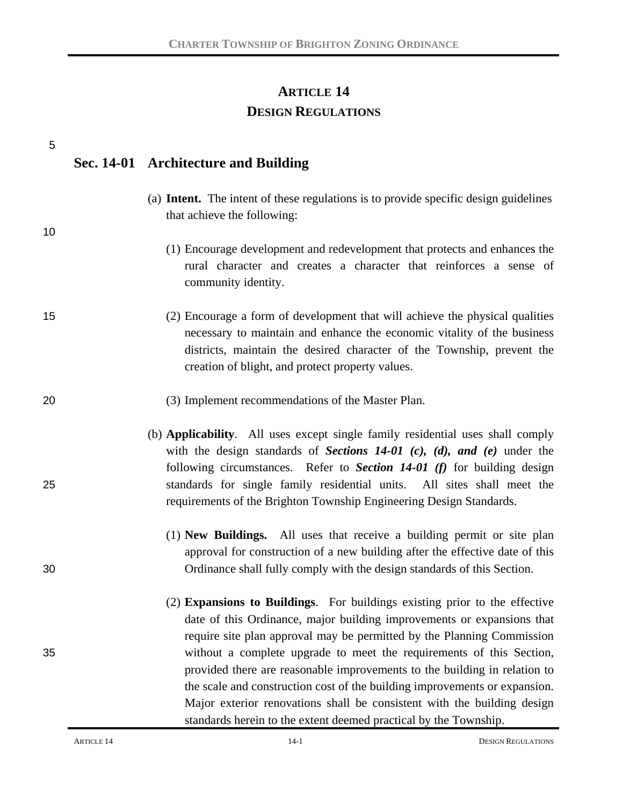# **ARTICLE 14 DESIGN REGULATIONS**

| 5  |                                                                                                                                                                                                                                                                                                                                                                                                                                                                                                                                              |
|----|----------------------------------------------------------------------------------------------------------------------------------------------------------------------------------------------------------------------------------------------------------------------------------------------------------------------------------------------------------------------------------------------------------------------------------------------------------------------------------------------------------------------------------------------|
|    | Sec. 14-01 Architecture and Building                                                                                                                                                                                                                                                                                                                                                                                                                                                                                                         |
| 10 | (a) <b>Intent.</b> The intent of these regulations is to provide specific design guidelines<br>that achieve the following:                                                                                                                                                                                                                                                                                                                                                                                                                   |
|    | (1) Encourage development and redevelopment that protects and enhances the<br>rural character and creates a character that reinforces a sense of<br>community identity.                                                                                                                                                                                                                                                                                                                                                                      |
| 15 | (2) Encourage a form of development that will achieve the physical qualities<br>necessary to maintain and enhance the economic vitality of the business<br>districts, maintain the desired character of the Township, prevent the<br>creation of blight, and protect property values.                                                                                                                                                                                                                                                        |
| 20 | (3) Implement recommendations of the Master Plan.                                                                                                                                                                                                                                                                                                                                                                                                                                                                                            |
| 25 | (b) Applicability. All uses except single family residential uses shall comply<br>with the design standards of Sections $14-01$ (c), (d), and (e) under the<br>following circumstances. Refer to Section $14-01$ (f) for building design<br>standards for single family residential units. All sites shall meet the<br>requirements of the Brighton Township Engineering Design Standards.                                                                                                                                                   |
| 30 | (1) New Buildings. All uses that receive a building permit or site plan<br>approval for construction of a new building after the effective date of this<br>Ordinance shall fully comply with the design standards of this Section.                                                                                                                                                                                                                                                                                                           |
| 35 | (2) Expansions to Buildings. For buildings existing prior to the effective<br>date of this Ordinance, major building improvements or expansions that<br>require site plan approval may be permitted by the Planning Commission<br>without a complete upgrade to meet the requirements of this Section,<br>provided there are reasonable improvements to the building in relation to<br>the scale and construction cost of the building improvements or expansion.<br>Major exterior renovations shall be consistent with the building design |
|    | standards herein to the extent deemed practical by the Township.                                                                                                                                                                                                                                                                                                                                                                                                                                                                             |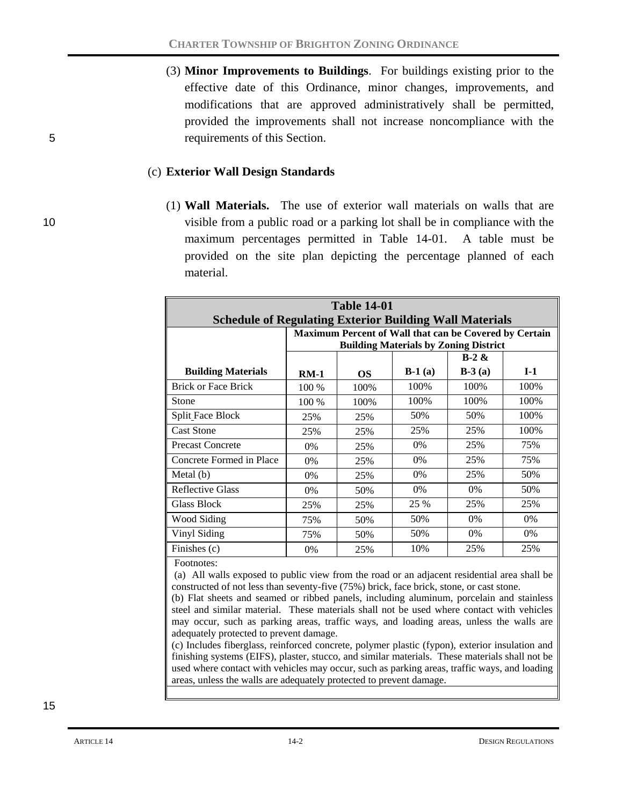(3) **Minor Improvements to Buildings**. For buildings existing prior to the effective date of this Ordinance, minor changes, improvements, and modifications that are approved administratively shall be permitted, provided the improvements shall not increase noncompliance with the 5 requirements of this Section.

#### (c) **Exterior Wall Design Standards**

(1) **Wall Materials.** The use of exterior wall materials on walls that are 10 visible from a public road or a parking lot shall be in compliance with the maximum percentages permitted in Table 14-01. A table must be provided on the site plan depicting the percentage planned of each material.

| <b>Table 14-01</b>                                             |        |           |          |                                                        |       |
|----------------------------------------------------------------|--------|-----------|----------|--------------------------------------------------------|-------|
| <b>Schedule of Regulating Exterior Building Wall Materials</b> |        |           |          |                                                        |       |
|                                                                |        |           |          | Maximum Percent of Wall that can be Covered by Certain |       |
|                                                                |        |           |          | <b>Building Materials by Zoning District</b>           |       |
|                                                                |        |           |          | $B-2 &$                                                |       |
| <b>Building Materials</b>                                      | $RM-1$ | <b>OS</b> | $B-1(a)$ | $B-3(a)$                                               | $I-1$ |
| <b>Brick or Face Brick</b>                                     | 100 %  | 100%      | 100%     | 100\%                                                  | 100%  |
| Stone                                                          | 100 %  | 100%      | 100%     | 100%                                                   | 100%  |
| <b>Split Face Block</b>                                        | 25%    | 25%       | 50%      | 50%                                                    | 100%  |
| <b>Cast Stone</b>                                              | 25%    | 25%       | 25%      | 25%                                                    | 100%  |
| <b>Precast Concrete</b>                                        | 0%     | 25%       | $0\%$    | 25%                                                    | 75%   |
| Concrete Formed in Place                                       | 0%     | 25%       | 0%       | 25%                                                    | 75%   |
| Metal (b)                                                      | 0%     | 25%       | 0%       | 25%                                                    | 50%   |
| <b>Reflective Glass</b>                                        | 0%     | 50%       | 0%       | 0%                                                     | 50%   |
| Glass Block                                                    | 25%    | 25%       | 25 %     | 25%                                                    | 25%   |
| Wood Siding                                                    | 75%    | 50%       | 50%      | $0\%$                                                  | $0\%$ |
| Vinyl Siding                                                   | 75%    | 50%       | 50%      | 0%                                                     | 0%    |
| Finishes (c)                                                   | $0\%$  | 25%       | 10%      | 25%                                                    | 25%   |

Footnotes:

(a) All walls exposed to public view from the road or an adjacent residential area shall be constructed of not less than seventy-five (75%) brick, face brick, stone, or cast stone.

(b) Flat sheets and seamed or ribbed panels, including aluminum, porcelain and stainless steel and similar material. These materials shall not be used where contact with vehicles may occur, such as parking areas, traffic ways, and loading areas, unless the walls are adequately protected to prevent damage.

(c) Includes fiberglass, reinforced concrete, polymer plastic (fypon), exterior insulation and finishing systems (EIFS), plaster, stucco, and similar materials. These materials shall not be used where contact with vehicles may occur, such as parking areas, traffic ways, and loading areas, unless the walls are adequately protected to prevent damage.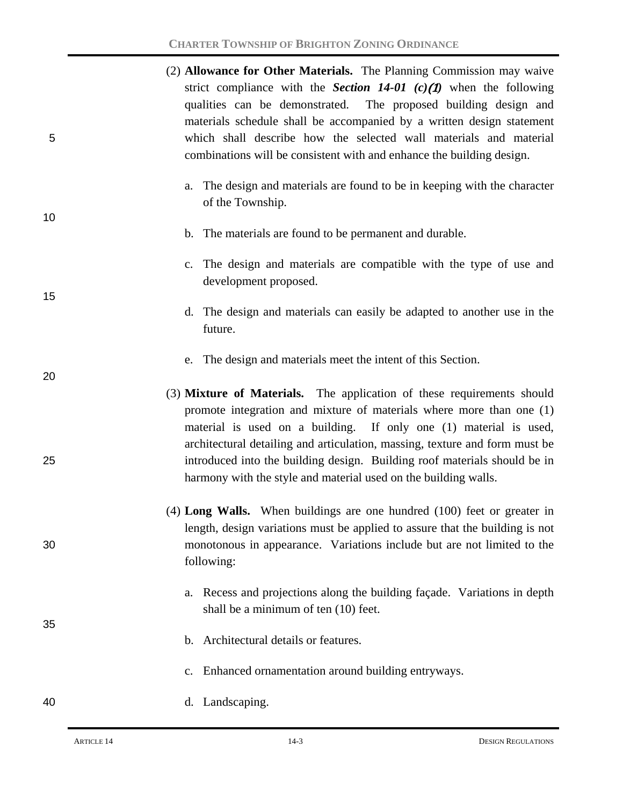|   | (2) <b>Allowance for Other Materials.</b> The Planning Commission may waive |
|---|-----------------------------------------------------------------------------|
|   | strict compliance with the <b>Section 14-01</b> (c)(1) when the following   |
|   | qualities can be demonstrated. The proposed building design and             |
|   | materials schedule shall be accompanied by a written design statement       |
| 5 | which shall describe how the selected wall materials and material           |
|   | combinations will be consistent with and enhance the building design.       |

a. The design and materials are found to be in keeping with the character of the Township.

### b. The materials are found to be permanent and durable.

- c. The design and materials are compatible with the type of use and development proposed.
- d. The design and materials can easily be adapted to another use in the future.
- e. The design and materials meet the intent of this Section.
- (3) **Mixture of Materials.** The application of these requirements should promote integration and mixture of materials where more than one (1) material is used on a building. If only one (1) material is used, architectural detailing and articulation, massing, texture and form must be 25 introduced into the building design. Building roof materials should be in harmony with the style and material used on the building walls.
- (4) **Long Walls.** When buildings are one hundred (100) feet or greater in length, design variations must be applied to assure that the building is not 30 monotonous in appearance. Variations include but are not limited to the following:
	- a. Recess and projections along the building façade. Variations in depth shall be a minimum of ten (10) feet.
	- b. Architectural details or features.
	- c. Enhanced ornamentation around building entryways.

## 40 d. Landscaping.

10

15

20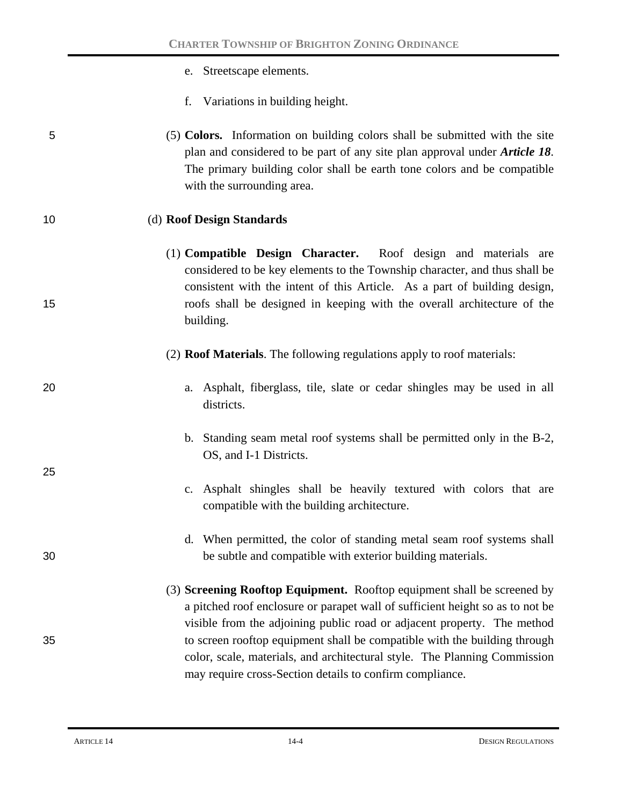- e. Streetscape elements.
- f. Variations in building height.
- 5 (5) **Colors.** Information on building colors shall be submitted with the site plan and considered to be part of any site plan approval under *Article 18*. The primary building color shall be earth tone colors and be compatible with the surrounding area.

#### 10 (d) **Roof Design Standards**

- (1) **Compatible Design Character.** Roof design and materials are considered to be key elements to the Township character, and thus shall be consistent with the intent of this Article. As a part of building design, 15 roofs shall be designed in keeping with the overall architecture of the building.
	- (2) **Roof Materials**. The following regulations apply to roof materials:
- 20 a. Asphalt, fiberglass, tile, slate or cedar shingles may be used in all districts.
	- b. Standing seam metal roof systems shall be permitted only in the B-2, OS, and I-1 Districts.
	- c. Asphalt shingles shall be heavily textured with colors that are compatible with the building architecture.
- d. When permitted, the color of standing metal seam roof systems shall 30 be subtle and compatible with exterior building materials.
- (3) **Screening Rooftop Equipment.** Rooftop equipment shall be screened by a pitched roof enclosure or parapet wall of sufficient height so as to not be visible from the adjoining public road or adjacent property. The method 35 to screen rooftop equipment shall be compatible with the building through color, scale, materials, and architectural style. The Planning Commission may require cross-Section details to confirm compliance.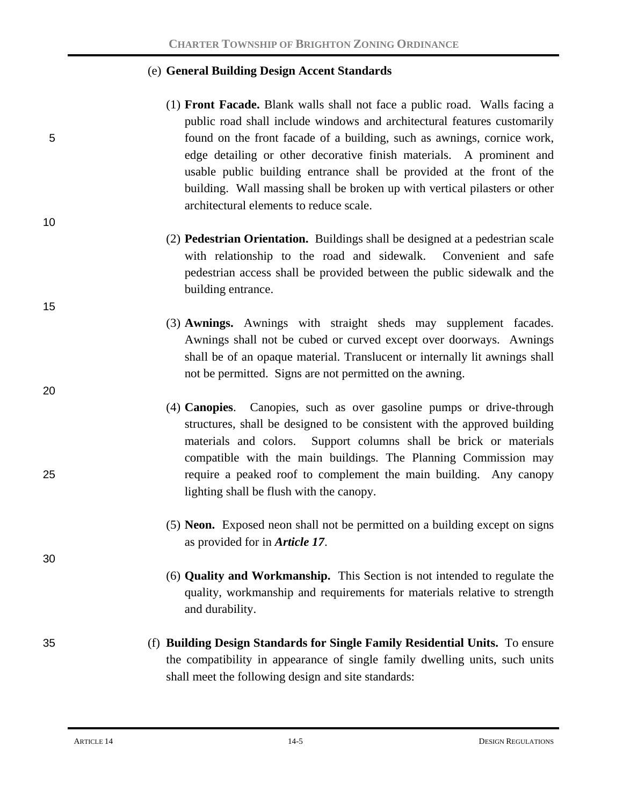#### (e) **General Building Design Accent Standards**

- (1) **Front Facade.** Blank walls shall not face a public road. Walls facing a public road shall include windows and architectural features customarily 5 found on the front facade of a building, such as awnings, cornice work, edge detailing or other decorative finish materials. A prominent and usable public building entrance shall be provided at the front of the building. Wall massing shall be broken up with vertical pilasters or other architectural elements to reduce scale.
	- (2) **Pedestrian Orientation.** Buildings shall be designed at a pedestrian scale with relationship to the road and sidewalk. Convenient and safe pedestrian access shall be provided between the public sidewalk and the building entrance.
	- (3) **Awnings.** Awnings with straight sheds may supplement facades. Awnings shall not be cubed or curved except over doorways. Awnings shall be of an opaque material. Translucent or internally lit awnings shall not be permitted. Signs are not permitted on the awning.
- (4) **Canopies**. Canopies, such as over gasoline pumps or drive-through structures, shall be designed to be consistent with the approved building materials and colors. Support columns shall be brick or materials compatible with the main buildings. The Planning Commission may 25 require a peaked roof to complement the main building. Any canopy lighting shall be flush with the canopy.
	- (5) **Neon.** Exposed neon shall not be permitted on a building except on signs as provided for in *Article 17*.
	- (6) **Quality and Workmanship.** This Section is not intended to regulate the quality, workmanship and requirements for materials relative to strength and durability.
- 35 (f) **Building Design Standards for Single Family Residential Units.** To ensure the compatibility in appearance of single family dwelling units, such units shall meet the following design and site standards:

10

15

20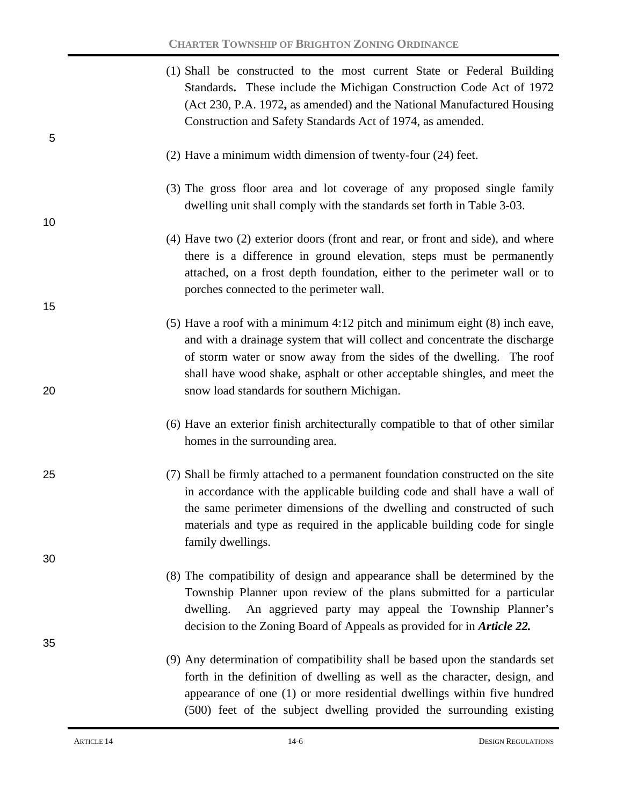|    | (1) Shall be constructed to the most current State or Federal Building<br>Standards. These include the Michigan Construction Code Act of 1972<br>(Act 230, P.A. 1972, as amended) and the National Manufactured Housing<br>Construction and Safety Standards Act of 1974, as amended.                                                 |
|----|---------------------------------------------------------------------------------------------------------------------------------------------------------------------------------------------------------------------------------------------------------------------------------------------------------------------------------------|
| 5  | (2) Have a minimum width dimension of twenty-four (24) feet.                                                                                                                                                                                                                                                                          |
| 10 | (3) The gross floor area and lot coverage of any proposed single family<br>dwelling unit shall comply with the standards set forth in Table 3-03.                                                                                                                                                                                     |
|    | (4) Have two (2) exterior doors (front and rear, or front and side), and where<br>there is a difference in ground elevation, steps must be permanently<br>attached, on a frost depth foundation, either to the perimeter wall or to<br>porches connected to the perimeter wall.                                                       |
| 15 | $(5)$ Have a roof with a minimum 4:12 pitch and minimum eight $(8)$ inch eave,<br>and with a drainage system that will collect and concentrate the discharge                                                                                                                                                                          |
| 20 | of storm water or snow away from the sides of the dwelling. The roof<br>shall have wood shake, asphalt or other acceptable shingles, and meet the<br>snow load standards for southern Michigan.                                                                                                                                       |
|    | (6) Have an exterior finish architecturally compatible to that of other similar<br>homes in the surrounding area.                                                                                                                                                                                                                     |
| 25 | (7) Shall be firmly attached to a permanent foundation constructed on the site<br>in accordance with the applicable building code and shall have a wall of<br>the same perimeter dimensions of the dwelling and constructed of such<br>materials and type as required in the applicable building code for single<br>family dwellings. |
| 30 |                                                                                                                                                                                                                                                                                                                                       |
|    | (8) The compatibility of design and appearance shall be determined by the<br>Township Planner upon review of the plans submitted for a particular<br>An aggrieved party may appeal the Township Planner's<br>dwelling.<br>decision to the Zoning Board of Appeals as provided for in <i>Article</i> 22.                               |
| 35 | (9) Any determination of compatibility shall be based upon the standards set<br>forth in the definition of dwelling as well as the character, design, and<br>appearance of one (1) or more residential dwellings within five hundred<br>(500) feet of the subject dwelling provided the surrounding existing                          |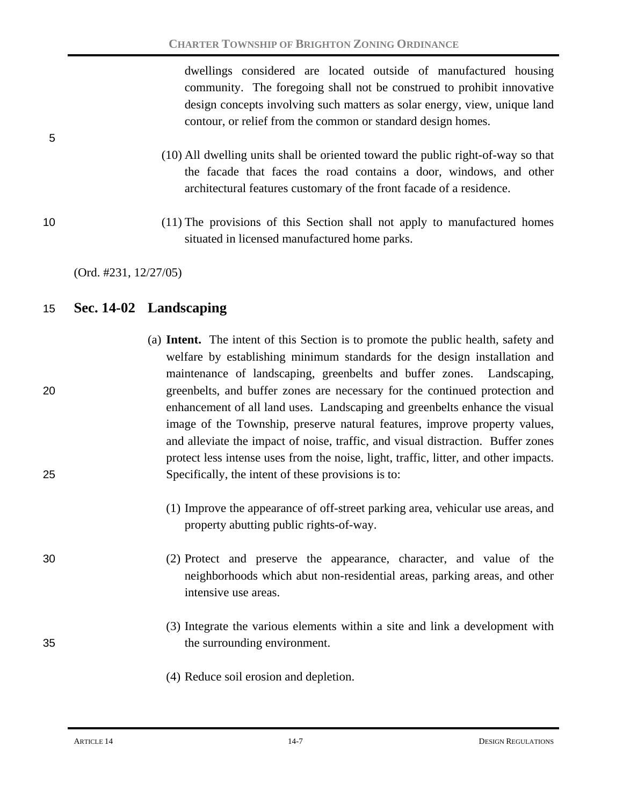dwellings considered are located outside of manufactured housing community. The foregoing shall not be construed to prohibit innovative design concepts involving such matters as solar energy, view, unique land contour, or relief from the common or standard design homes.

- (10) All dwelling units shall be oriented toward the public right-of-way so that the facade that faces the road contains a door, windows, and other architectural features customary of the front facade of a residence.
- 10 (11) The provisions of this Section shall not apply to manufactured homes situated in licensed manufactured home parks.

5

## 15 **Sec. 14-02 Landscaping**

- (a) **Intent.** The intent of this Section is to promote the public health, safety and welfare by establishing minimum standards for the design installation and maintenance of landscaping, greenbelts and buffer zones. Landscaping, 20 greenbelts, and buffer zones are necessary for the continued protection and enhancement of all land uses. Landscaping and greenbelts enhance the visual image of the Township, preserve natural features, improve property values, and alleviate the impact of noise, traffic, and visual distraction. Buffer zones protect less intense uses from the noise, light, traffic, litter, and other impacts. 25 Specifically, the intent of these provisions is to:
	- (1) Improve the appearance of off-street parking area, vehicular use areas, and property abutting public rights-of-way.

30 (2) Protect and preserve the appearance, character, and value of the neighborhoods which abut non-residential areas, parking areas, and other intensive use areas.

- (3) Integrate the various elements within a site and link a development with 35 the surrounding environment.
	- (4) Reduce soil erosion and depletion.

<sup>(</sup>Ord. #231, 12/27/05)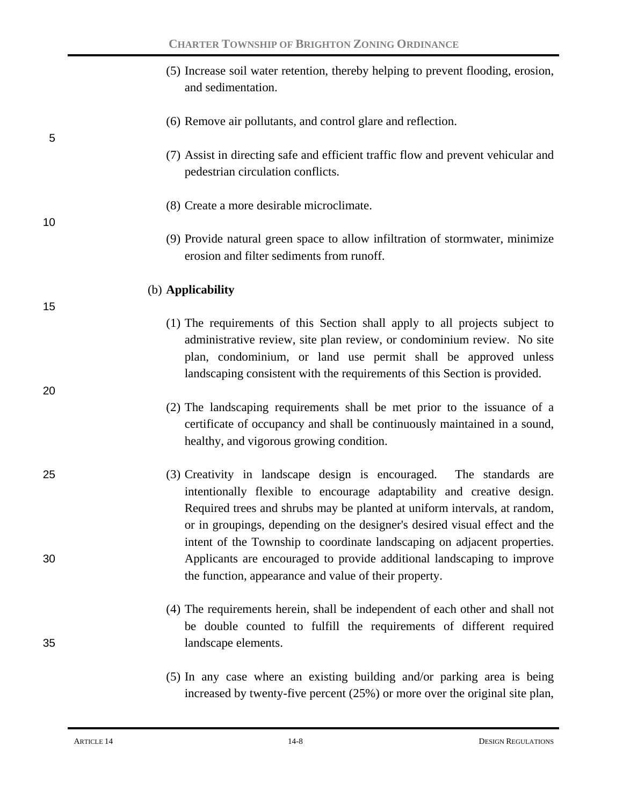|    | (5) Increase soil water retention, thereby helping to prevent flooding, erosion,<br>and sedimentation.                                                                                                                                                                                                  |
|----|---------------------------------------------------------------------------------------------------------------------------------------------------------------------------------------------------------------------------------------------------------------------------------------------------------|
| 5  | (6) Remove air pollutants, and control glare and reflection.                                                                                                                                                                                                                                            |
|    | (7) Assist in directing safe and efficient traffic flow and prevent vehicular and<br>pedestrian circulation conflicts.                                                                                                                                                                                  |
| 10 | (8) Create a more desirable microclimate.                                                                                                                                                                                                                                                               |
|    | (9) Provide natural green space to allow infiltration of stormwater, minimize<br>erosion and filter sediments from runoff.                                                                                                                                                                              |
| 15 | (b) Applicability                                                                                                                                                                                                                                                                                       |
|    | (1) The requirements of this Section shall apply to all projects subject to<br>administrative review, site plan review, or condominium review. No site<br>plan, condominium, or land use permit shall be approved unless<br>landscaping consistent with the requirements of this Section is provided.   |
| 20 | (2) The landscaping requirements shall be met prior to the issuance of a<br>certificate of occupancy and shall be continuously maintained in a sound,<br>healthy, and vigorous growing condition.                                                                                                       |
| 25 | (3) Creativity in landscape design is encouraged. The standards are<br>intentionally flexible to encourage adaptability and creative design.<br>Required trees and shrubs may be planted at uniform intervals, at random,<br>or in groupings, depending on the designer's desired visual effect and the |
| 30 | intent of the Township to coordinate landscaping on adjacent properties.<br>Applicants are encouraged to provide additional landscaping to improve<br>the function, appearance and value of their property.                                                                                             |
| 35 | (4) The requirements herein, shall be independent of each other and shall not<br>be double counted to fulfill the requirements of different required<br>landscape elements.                                                                                                                             |
|    | (5) In any case where an existing building and/or parking area is being                                                                                                                                                                                                                                 |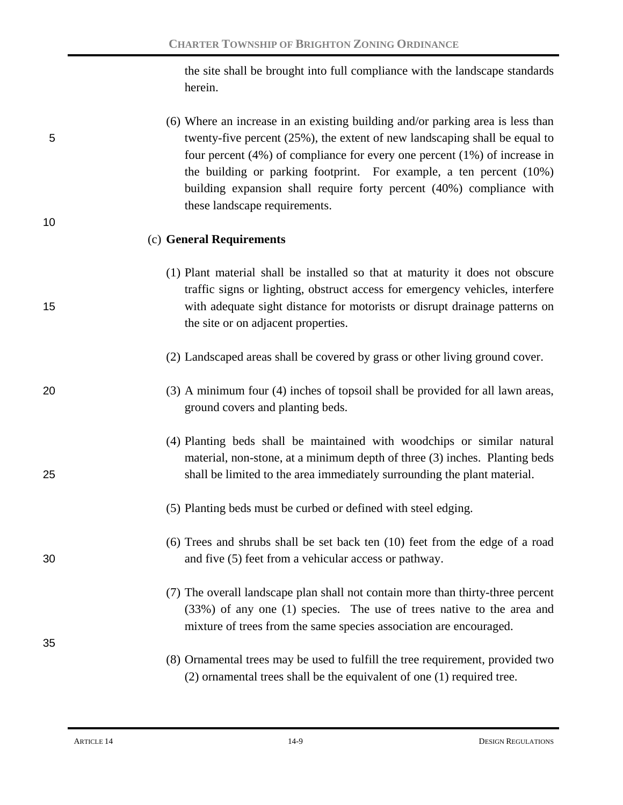the site shall be brought into full compliance with the landscape standards herein.

(6) Where an increase in an existing building and/or parking area is less than 5 twenty-five percent (25%), the extent of new landscaping shall be equal to four percent (4%) of compliance for every one percent (1%) of increase in the building or parking footprint. For example, a ten percent (10%) building expansion shall require forty percent (40%) compliance with these landscape requirements.

#### (c) **General Requirements**

- (1) Plant material shall be installed so that at maturity it does not obscure traffic signs or lighting, obstruct access for emergency vehicles, interfere 15 with adequate sight distance for motorists or disrupt drainage patterns on the site or on adjacent properties.
	- (2) Landscaped areas shall be covered by grass or other living ground cover.
- 20 (3) A minimum four (4) inches of topsoil shall be provided for all lawn areas, ground covers and planting beds.
- (4) Planting beds shall be maintained with woodchips or similar natural material, non-stone, at a minimum depth of three (3) inches. Planting beds 25 shall be limited to the area immediately surrounding the plant material.
	- (5) Planting beds must be curbed or defined with steel edging.
- (6) Trees and shrubs shall be set back ten (10) feet from the edge of a road 30 and five (5) feet from a vehicular access or pathway.
	- (7) The overall landscape plan shall not contain more than thirty-three percent (33%) of any one (1) species. The use of trees native to the area and mixture of trees from the same species association are encouraged.
	- (8) Ornamental trees may be used to fulfill the tree requirement, provided two (2) ornamental trees shall be the equivalent of one (1) required tree.

35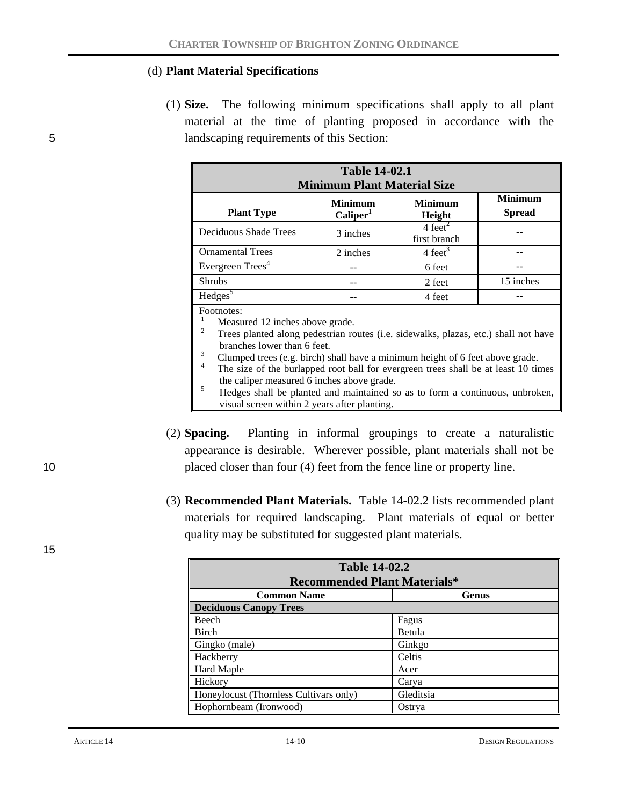#### (d) **Plant Material Specifications**

(1) **Size.** The following minimum specifications shall apply to all plant material at the time of planting proposed in accordance with the 5 landscaping requirements of this Section:

| <b>Table 14-02.1</b><br><b>Minimum Plant Material Size</b>                                                                 |          |                                    |           |  |  |  |
|----------------------------------------------------------------------------------------------------------------------------|----------|------------------------------------|-----------|--|--|--|
| <b>Minimum</b><br><b>Minimum</b><br><b>Minimum</b><br><b>Spread</b><br><b>Plant Type</b><br>Caliper <sup>1</sup><br>Height |          |                                    |           |  |  |  |
| Deciduous Shade Trees                                                                                                      | 3 inches | $4 \text{ feet}^2$<br>first branch |           |  |  |  |
| <b>Ornamental Trees</b>                                                                                                    | 2 inches | $4 \text{ feet}^3$                 |           |  |  |  |
| Evergreen Trees <sup>4</sup>                                                                                               |          | 6 feet                             |           |  |  |  |
| <b>Shrubs</b>                                                                                                              | --       | 2 feet                             | 15 inches |  |  |  |
| Hedges <sup>5</sup>                                                                                                        |          | 4 feet                             |           |  |  |  |

Footnotes:

- <sup>1</sup> Measured 12 inches above grade.<br><sup>2</sup> Trees planted along pedestrian routes (i.e. sidewalks, plazas, etc.) shall not have
- 
- <sup>3</sup><br>Clumped trees (e.g. birch) shall have a minimum height of 6 feet above grade.<br><sup>4</sup> The size of the burlapped root ball for evergreen trees shall be at least 10 times<br>the caliper measured 6 inches above grade.
- $\frac{5}{10}$  Hedges shall be planted and maintained so as to form a continuous, unbroken, visual screen within 2 years after planting.
- (2) **Spacing.** Planting in informal groupings to create a naturalistic appearance is desirable. Wherever possible, plant materials shall not be 10 placed closer than four (4) feet from the fence line or property line.
	- (3) **Recommended Plant Materials.** Table 14-02.2 lists recommended plant materials for required landscaping. Plant materials of equal or better quality may be substituted for suggested plant materials.

| <b>Table 14-02.2</b>                   |              |  |  |  |
|----------------------------------------|--------------|--|--|--|
| <b>Recommended Plant Materials*</b>    |              |  |  |  |
| <b>Common Name</b>                     | <b>Genus</b> |  |  |  |
| Deciduous Canopy Trees                 |              |  |  |  |
| Beech                                  | Fagus        |  |  |  |
| Birch                                  | Betula       |  |  |  |
| Gingko (male)                          | Ginkgo       |  |  |  |
| Hackberry                              | Celtis       |  |  |  |
| <b>Hard Maple</b>                      | Acer         |  |  |  |
| Hickory                                | Carya        |  |  |  |
| Honeylocust (Thornless Cultivars only) | Gleditsia    |  |  |  |
| Hophornbeam (Ironwood)                 | Ostrya       |  |  |  |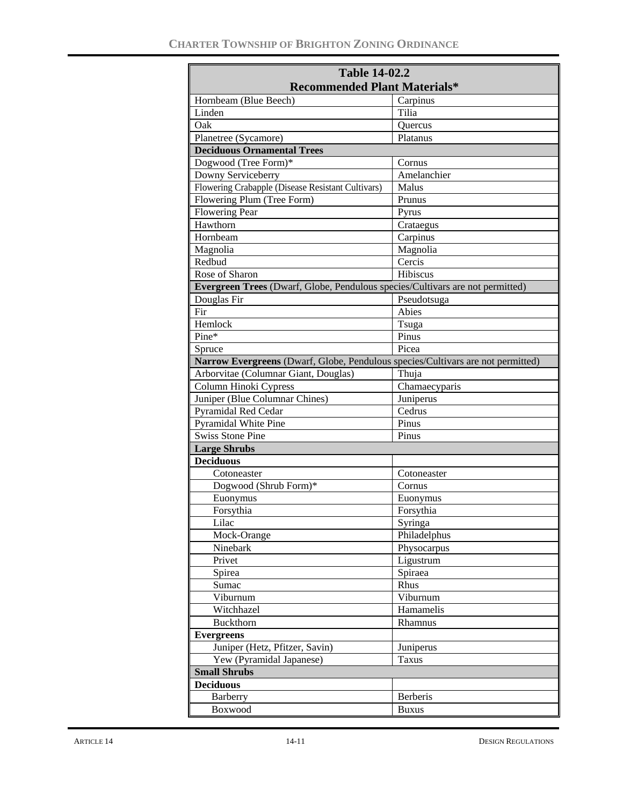| <b>Table 14-02.2</b>                                                            |                 |  |  |  |  |
|---------------------------------------------------------------------------------|-----------------|--|--|--|--|
| <b>Recommended Plant Materials*</b>                                             |                 |  |  |  |  |
| Hornbeam (Blue Beech)                                                           | Carpinus        |  |  |  |  |
| Linden                                                                          | Tilia           |  |  |  |  |
| Oak                                                                             | <b>Ouercus</b>  |  |  |  |  |
| Planetree (Sycamore)                                                            | Platanus        |  |  |  |  |
| <b>Deciduous Ornamental Trees</b>                                               |                 |  |  |  |  |
| Dogwood (Tree Form)*                                                            | Cornus          |  |  |  |  |
| Downy Serviceberry                                                              | Amelanchier     |  |  |  |  |
| Flowering Crabapple (Disease Resistant Cultivars)                               | Malus           |  |  |  |  |
| Flowering Plum (Tree Form)                                                      | Prunus          |  |  |  |  |
| <b>Flowering Pear</b>                                                           | Pyrus           |  |  |  |  |
| Hawthorn                                                                        | Crataegus       |  |  |  |  |
| Hornbeam                                                                        | Carpinus        |  |  |  |  |
| Magnolia                                                                        | Magnolia        |  |  |  |  |
| Redbud                                                                          | Cercis          |  |  |  |  |
| Rose of Sharon                                                                  | Hibiscus        |  |  |  |  |
| Evergreen Trees (Dwarf, Globe, Pendulous species/Cultivars are not permitted)   |                 |  |  |  |  |
| Douglas Fir                                                                     | Pseudotsuga     |  |  |  |  |
| Fir                                                                             | Abies           |  |  |  |  |
| Hemlock                                                                         | Tsuga           |  |  |  |  |
| Pine*                                                                           | Pinus           |  |  |  |  |
| Spruce                                                                          | Picea           |  |  |  |  |
| Narrow Evergreens (Dwarf, Globe, Pendulous species/Cultivars are not permitted) |                 |  |  |  |  |
| Arborvitae (Columnar Giant, Douglas)                                            | Thuja           |  |  |  |  |
| Column Hinoki Cypress                                                           | Chamaecyparis   |  |  |  |  |
| Juniper (Blue Columnar Chines)                                                  | Juniperus       |  |  |  |  |
| <b>Pyramidal Red Cedar</b>                                                      | Cedrus          |  |  |  |  |
| <b>Pyramidal White Pine</b>                                                     | Pinus           |  |  |  |  |
| <b>Swiss Stone Pine</b>                                                         | Pinus           |  |  |  |  |
| <b>Large Shrubs</b>                                                             |                 |  |  |  |  |
| <b>Deciduous</b>                                                                |                 |  |  |  |  |
| Cotoneaster                                                                     | Cotoneaster     |  |  |  |  |
| Dogwood (Shrub Form)*                                                           | Cornus          |  |  |  |  |
| Euonymus                                                                        | Euonymus        |  |  |  |  |
| Forsythia                                                                       | Forsythia       |  |  |  |  |
| Lilac                                                                           | Syringa         |  |  |  |  |
| Mock-Orange                                                                     | Philadelphus    |  |  |  |  |
| Ninebark                                                                        | Physocarpus     |  |  |  |  |
| Privet                                                                          | Ligustrum       |  |  |  |  |
| Spirea                                                                          | Spiraea         |  |  |  |  |
| Sumac                                                                           | Rhus            |  |  |  |  |
| Viburnum                                                                        | Viburnum        |  |  |  |  |
| Witchhazel                                                                      | Hamamelis       |  |  |  |  |
| Buckthorn                                                                       | Rhamnus         |  |  |  |  |
| <b>Evergreens</b>                                                               |                 |  |  |  |  |
| Juniper (Hetz, Pfitzer, Savin)                                                  | Juniperus       |  |  |  |  |
| Yew (Pyramidal Japanese)                                                        | <b>Taxus</b>    |  |  |  |  |
| <b>Small Shrubs</b>                                                             |                 |  |  |  |  |
| <b>Deciduous</b>                                                                |                 |  |  |  |  |
| <b>Barberry</b>                                                                 | <b>Berberis</b> |  |  |  |  |
| Boxwood                                                                         | <b>Buxus</b>    |  |  |  |  |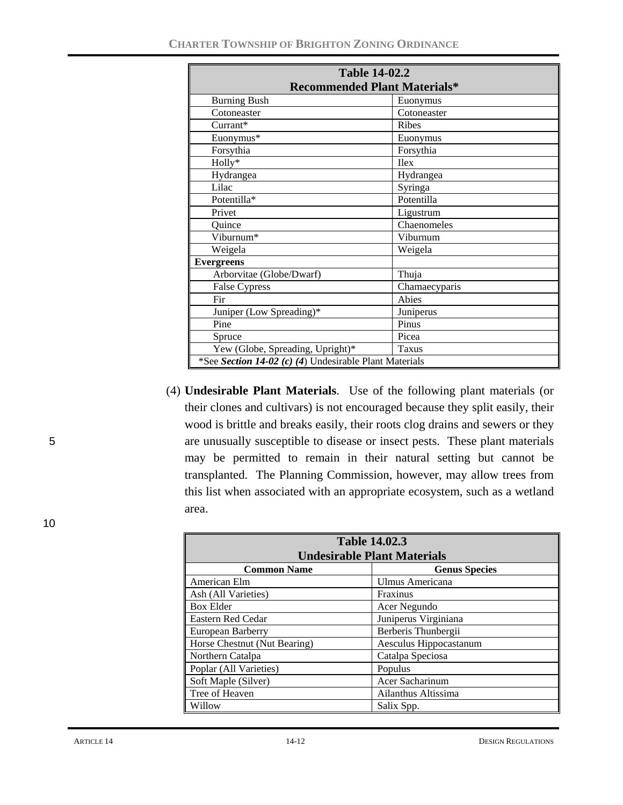| <b>Table 14-02.2</b>                                   |               |  |  |  |
|--------------------------------------------------------|---------------|--|--|--|
| <b>Recommended Plant Materials*</b>                    |               |  |  |  |
| <b>Burning Bush</b>                                    | Euonymus      |  |  |  |
| Cotoneaster                                            | Cotoneaster   |  |  |  |
| Currant*                                               | <b>Ribes</b>  |  |  |  |
| Euonymus*                                              | Euonymus      |  |  |  |
| Forsythia                                              | Forsythia     |  |  |  |
| Holly*                                                 | <b>Ilex</b>   |  |  |  |
| Hydrangea                                              | Hydrangea     |  |  |  |
| Lilac                                                  | Syringa       |  |  |  |
| Potentilla*                                            | Potentilla    |  |  |  |
| Privet                                                 | Ligustrum     |  |  |  |
| Quince                                                 | Chaenomeles   |  |  |  |
| Viburnum*                                              | Viburnum      |  |  |  |
| Weigela                                                | Weigela       |  |  |  |
| <b>Evergreens</b>                                      |               |  |  |  |
| Arborvitae (Globe/Dwarf)                               | Thuja         |  |  |  |
| <b>False Cypress</b>                                   | Chamaecyparis |  |  |  |
| Fir                                                    | Abies         |  |  |  |
| Juniper (Low Spreading)*                               | Juniperus     |  |  |  |
| Pine                                                   | Pinus         |  |  |  |
| Spruce                                                 | Picea         |  |  |  |
| Yew (Globe, Spreading, Upright)*<br><b>Taxus</b>       |               |  |  |  |
| *See Section 14-02 (c) (4) Undesirable Plant Materials |               |  |  |  |

(4) **Undesirable Plant Materials**. Use of the following plant materials (or their clones and cultivars) is not encouraged because they split easily, their wood is brittle and breaks easily, their roots clog drains and sewers or they 5 are unusually susceptible to disease or insect pests. These plant materials may be permitted to remain in their natural setting but cannot be transplanted. The Planning Commission, however, may allow trees from this list when associated with an appropriate ecosystem, such as a wetland area.

| <b>Table 14.02.3</b>                       |                        |  |  |  |
|--------------------------------------------|------------------------|--|--|--|
| <b>Undesirable Plant Materials</b>         |                        |  |  |  |
| <b>Common Name</b><br><b>Genus Species</b> |                        |  |  |  |
| American Elm                               | Ulmus Americana        |  |  |  |
| Ash (All Varieties)                        | Fraxinus               |  |  |  |
| <b>Box Elder</b>                           | Acer Negundo           |  |  |  |
| Eastern Red Cedar                          | Juniperus Virginiana   |  |  |  |
| European Barberry                          | Berberis Thunbergii    |  |  |  |
| Horse Chestnut (Nut Bearing)               | Aesculus Hippocastanum |  |  |  |
| Northern Catalpa                           | Catalpa Speciosa       |  |  |  |
| Poplar (All Varieties)                     | Populus                |  |  |  |
| Soft Maple (Silver)                        | Acer Sacharinum        |  |  |  |
| Tree of Heaven                             | Ailanthus Altissima    |  |  |  |
| Willow                                     | Salix Spp.             |  |  |  |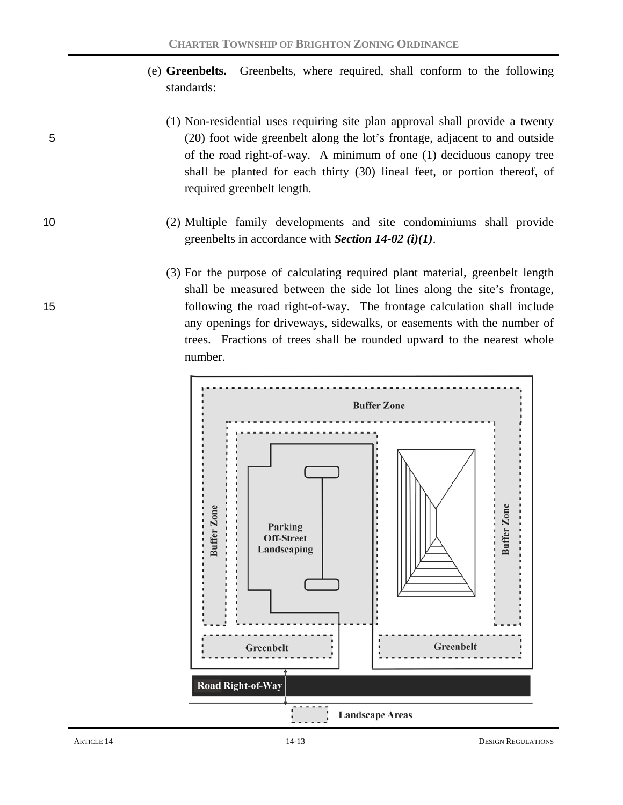- (e) **Greenbelts.** Greenbelts, where required, shall conform to the following standards:
- (1) Non-residential uses requiring site plan approval shall provide a twenty 5 (20) foot wide greenbelt along the lot's frontage, adjacent to and outside of the road right-of-way. A minimum of one (1) deciduous canopy tree shall be planted for each thirty (30) lineal feet, or portion thereof, of required greenbelt length.
- 10 (2) Multiple family developments and site condominiums shall provide greenbelts in accordance with *Section 14-02 (i)(1)*.
- (3) For the purpose of calculating required plant material, greenbelt length shall be measured between the side lot lines along the site's frontage, 15 following the road right-of-way. The frontage calculation shall include any openings for driveways, sidewalks, or easements with the number of trees. Fractions of trees shall be rounded upward to the nearest whole number.

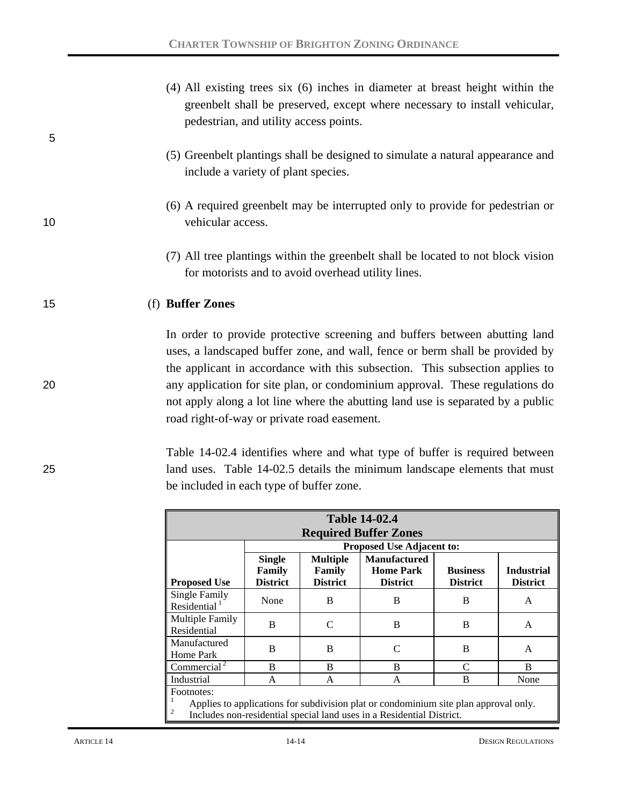| 5  | (4) All existing trees six (6) inches in diameter at breast height within the<br>greenbelt shall be preserved, except where necessary to install vehicular,<br>pedestrian, and utility access points.                                                                                                                      |
|----|----------------------------------------------------------------------------------------------------------------------------------------------------------------------------------------------------------------------------------------------------------------------------------------------------------------------------|
|    | (5) Greenbelt plantings shall be designed to simulate a natural appearance and<br>include a variety of plant species.                                                                                                                                                                                                      |
| 10 | (6) A required greenbelt may be interrupted only to provide for pedestrian or<br>vehicular access.                                                                                                                                                                                                                         |
|    | (7) All tree plantings within the greenbelt shall be located to not block vision<br>for motorists and to avoid overhead utility lines.                                                                                                                                                                                     |
| 15 | (f) Buffer Zones                                                                                                                                                                                                                                                                                                           |
| 20 | In order to provide protective screening and buffers between abutting land<br>uses, a landscaped buffer zone, and wall, fence or berm shall be provided by<br>the applicant in accordance with this subsection. This subsection applies to<br>any application for site plan, or condominium approval. These regulations do |
|    | not apply along a lot line where the abutting land use is separated by a public<br>road right-of-way or private road easement.                                                                                                                                                                                             |

## Table 14-02.4 identifies where and what type of buffer is required between 25 land uses. Table 14-02.5 details the minimum landscape elements that must be included in each type of buffer zone.

| <b>Table 14-02.4</b><br><b>Required Buffer Zones</b>                                                                                                                                                                                                          |      |                                  |               |   |   |  |
|---------------------------------------------------------------------------------------------------------------------------------------------------------------------------------------------------------------------------------------------------------------|------|----------------------------------|---------------|---|---|--|
|                                                                                                                                                                                                                                                               |      | <b>Proposed Use Adjacent to:</b> |               |   |   |  |
| <b>Manufactured</b><br><b>Single</b><br><b>Multiple</b><br><b>Industrial</b><br>Family<br><b>Home Park</b><br><b>Business</b><br>Family<br><b>District</b><br><b>District</b><br><b>District</b><br><b>District</b><br><b>District</b><br><b>Proposed Use</b> |      |                                  |               |   |   |  |
| Single Family<br>Residential <sup>1</sup>                                                                                                                                                                                                                     | None | B                                | B             | B | A |  |
| Multiple Family<br>Residential                                                                                                                                                                                                                                | B    |                                  | B             | B | A |  |
| Manufactured<br>Home Park                                                                                                                                                                                                                                     | B    | B                                | $\mathcal{C}$ | B | A |  |
| Commercial <sup>2</sup><br>B<br>R<br>B<br>B<br>C                                                                                                                                                                                                              |      |                                  |               |   |   |  |
| Industrial<br>B<br>None<br>A<br>A<br>A                                                                                                                                                                                                                        |      |                                  |               |   |   |  |
| Footnotes:<br>Applies to applications for subdivision plat or condominium site plan approval only.<br>$\overline{c}$<br>Includes non-residential special land uses in a Residential District.                                                                 |      |                                  |               |   |   |  |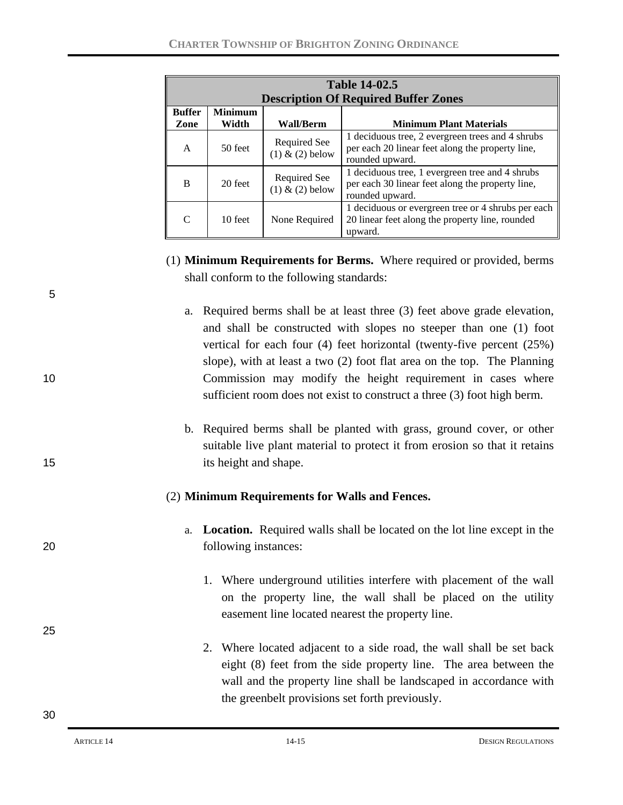|                       | <b>Table 14-02.5</b><br><b>Description Of Required Buffer Zones</b> |                                     |                                                                                                                         |  |  |  |
|-----------------------|---------------------------------------------------------------------|-------------------------------------|-------------------------------------------------------------------------------------------------------------------------|--|--|--|
| <b>Buffer</b><br>Zone | <b>Minimum</b><br>Width                                             | <b>Wall/Berm</b>                    | <b>Minimum Plant Materials</b>                                                                                          |  |  |  |
| A                     | 50 feet                                                             | Required See<br>$(1)$ & $(2)$ below | 1 deciduous tree, 2 evergreen trees and 4 shrubs<br>per each 20 linear feet along the property line,<br>rounded upward. |  |  |  |
| B                     | 20 feet                                                             | Required See<br>$(1)$ & $(2)$ below | 1 deciduous tree, 1 evergreen tree and 4 shrubs<br>per each 30 linear feet along the property line,<br>rounded upward.  |  |  |  |
| $\mathcal{C}$         | 10 feet                                                             | None Required                       | 1 deciduous or evergreen tree or 4 shrubs per each<br>20 linear feet along the property line, rounded<br>upward.        |  |  |  |

- (1) **Minimum Requirements for Berms.** Where required or provided, berms shall conform to the following standards:
- a. Required berms shall be at least three (3) feet above grade elevation, and shall be constructed with slopes no steeper than one (1) foot vertical for each four (4) feet horizontal (twenty-five percent (25%) slope), with at least a two (2) foot flat area on the top. The Planning 10 Commission may modify the height requirement in cases where sufficient room does not exist to construct a three (3) foot high berm.
- b. Required berms shall be planted with grass, ground cover, or other suitable live plant material to protect it from erosion so that it retains 15 its height and shape.

### (2) **Minimum Requirements for Walls and Fences.**

- a. **Location.** Required walls shall be located on the lot line except in the 20 following instances:
	- 1. Where underground utilities interfere with placement of the wall on the property line, the wall shall be placed on the utility easement line located nearest the property line.
	- 2. Where located adjacent to a side road, the wall shall be set back eight (8) feet from the side property line. The area between the wall and the property line shall be landscaped in accordance with the greenbelt provisions set forth previously.

5

25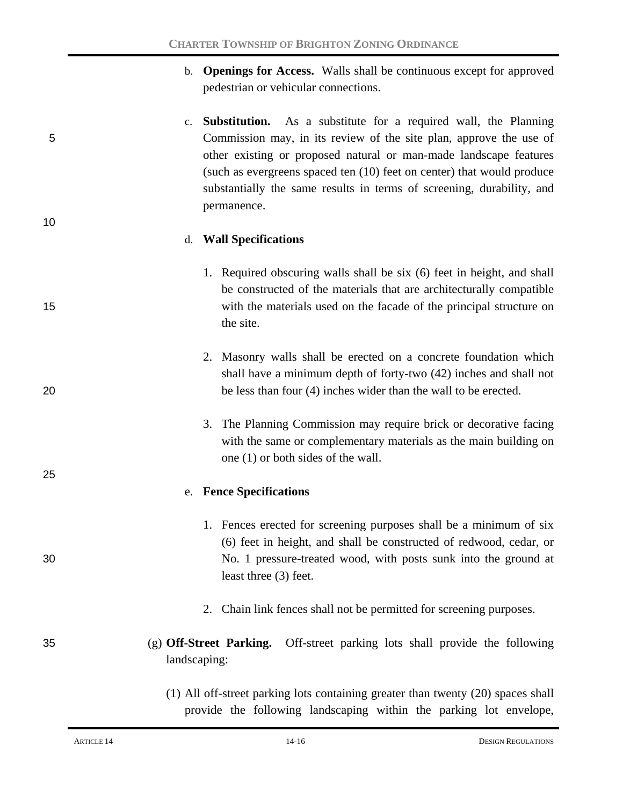- b. **Openings for Access.** Walls shall be continuous except for approved pedestrian or vehicular connections.
- c. **Substitution.** As a substitute for a required wall, the Planning 5 Commission may, in its review of the site plan, approve the use of other existing or proposed natural or man-made landscape features (such as evergreens spaced ten (10) feet on center) that would produce substantially the same results in terms of screening, durability, and permanence.

#### d. **Wall Specifications**

- 1. Required obscuring walls shall be six (6) feet in height, and shall be constructed of the materials that are architecturally compatible 15 with the materials used on the facade of the principal structure on the site.
- 2. Masonry walls shall be erected on a concrete foundation which shall have a minimum depth of forty-two (42) inches and shall not 20 be less than four (4) inches wider than the wall to be erected.
	- 3. The Planning Commission may require brick or decorative facing with the same or complementary materials as the main building on one (1) or both sides of the wall.

### e. **Fence Specifications**

- 1. Fences erected for screening purposes shall be a minimum of six (6) feet in height, and shall be constructed of redwood, cedar, or 30 No. 1 pressure-treated wood, with posts sunk into the ground at least three (3) feet.
	- 2. Chain link fences shall not be permitted for screening purposes.
- 35 (g) **Off-Street Parking.** Off-street parking lots shall provide the following landscaping:
	- (1) All off-street parking lots containing greater than twenty (20) spaces shall provide the following landscaping within the parking lot envelope,

10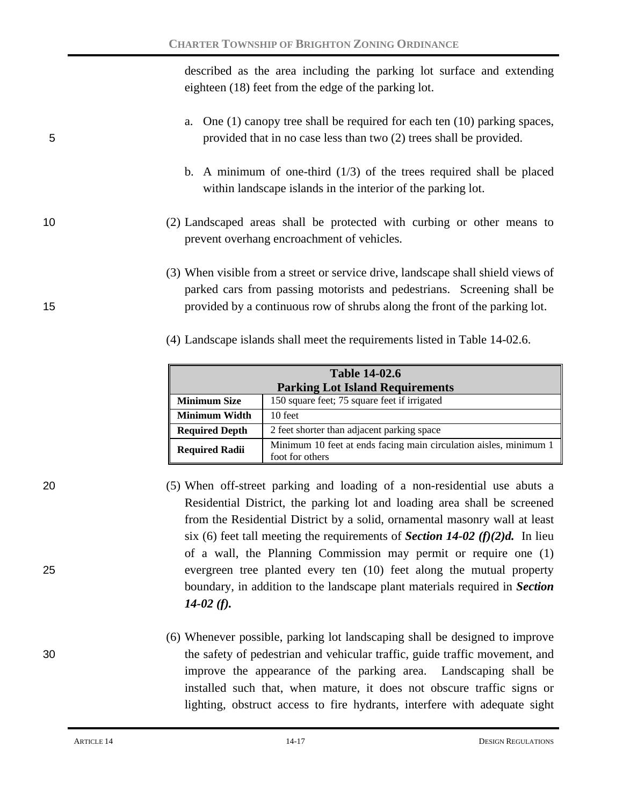described as the area including the parking lot surface and extending eighteen (18) feet from the edge of the parking lot.

- a. One (1) canopy tree shall be required for each ten (10) parking spaces, 5 provided that in no case less than two (2) trees shall be provided.
	- b. A minimum of one-third  $(1/3)$  of the trees required shall be placed within landscape islands in the interior of the parking lot.
- 10 (2) Landscaped areas shall be protected with curbing or other means to prevent overhang encroachment of vehicles.
- (3) When visible from a street or service drive, landscape shall shield views of parked cars from passing motorists and pedestrians. Screening shall be 15 provided by a continuous row of shrubs along the front of the parking lot.
	- (4) Landscape islands shall meet the requirements listed in Table 14-02.6.

| <b>Table 14-02.6</b>                                                |                                                                                      |  |  |  |
|---------------------------------------------------------------------|--------------------------------------------------------------------------------------|--|--|--|
| <b>Parking Lot Island Requirements</b>                              |                                                                                      |  |  |  |
| <b>Minimum Size</b><br>150 square feet; 75 square feet if irrigated |                                                                                      |  |  |  |
| Minimum Width                                                       | 10 feet                                                                              |  |  |  |
| <b>Required Depth</b>                                               | 2 feet shorter than adjacent parking space                                           |  |  |  |
| <b>Required Radii</b>                                               | Minimum 10 feet at ends facing main circulation aisles, minimum 1<br>foot for others |  |  |  |

- 20 (5) When off-street parking and loading of a non-residential use abuts a Residential District, the parking lot and loading area shall be screened from the Residential District by a solid, ornamental masonry wall at least six (6) feet tall meeting the requirements of *Section 14-02 (f)(2)d.* In lieu of a wall, the Planning Commission may permit or require one (1) 25 evergreen tree planted every ten (10) feet along the mutual property boundary, in addition to the landscape plant materials required in *Section 14-02 (f).*
- (6) Whenever possible, parking lot landscaping shall be designed to improve 30 the safety of pedestrian and vehicular traffic, guide traffic movement, and improve the appearance of the parking area. Landscaping shall be installed such that, when mature, it does not obscure traffic signs or lighting, obstruct access to fire hydrants, interfere with adequate sight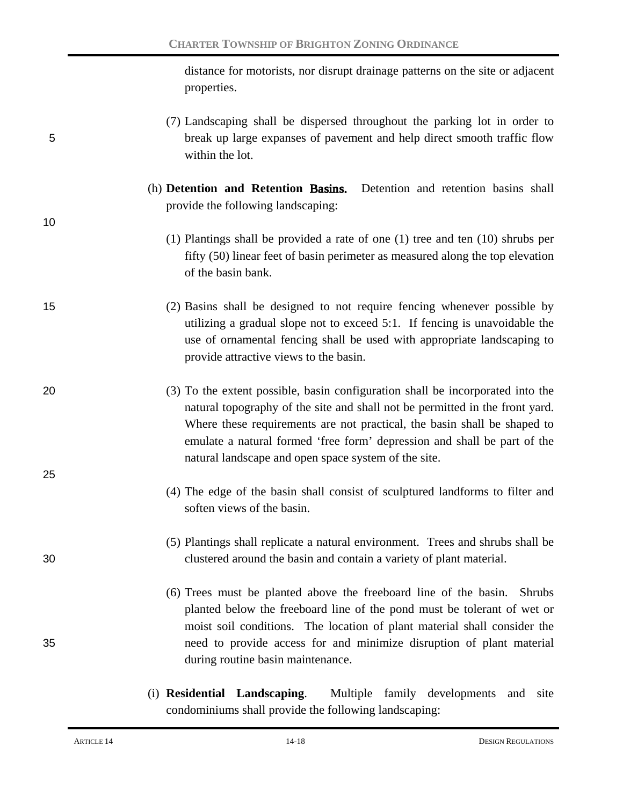distance for motorists, nor disrupt drainage patterns on the site or adjacent properties.

- (7) Landscaping shall be dispersed throughout the parking lot in order to 5 break up large expanses of pavement and help direct smooth traffic flow within the lot.
	- (h) **Detention and Retention** Basins. Detention and retention basins shall provide the following landscaping:
		- (1) Plantings shall be provided a rate of one (1) tree and ten (10) shrubs per fifty (50) linear feet of basin perimeter as measured along the top elevation of the basin bank.
- 15 (2) Basins shall be designed to not require fencing whenever possible by utilizing a gradual slope not to exceed 5:1. If fencing is unavoidable the use of ornamental fencing shall be used with appropriate landscaping to provide attractive views to the basin.
- 20 (3) To the extent possible, basin configuration shall be incorporated into the natural topography of the site and shall not be permitted in the front yard. Where these requirements are not practical, the basin shall be shaped to emulate a natural formed 'free form' depression and shall be part of the natural landscape and open space system of the site.
	- (4) The edge of the basin shall consist of sculptured landforms to filter and soften views of the basin.
- (5) Plantings shall replicate a natural environment. Trees and shrubs shall be 30 clustered around the basin and contain a variety of plant material.
- (6) Trees must be planted above the freeboard line of the basin. Shrubs planted below the freeboard line of the pond must be tolerant of wet or moist soil conditions. The location of plant material shall consider the 35 need to provide access for and minimize disruption of plant material during routine basin maintenance.
	- (i) **Residential Landscaping**. Multiple family developments and site condominiums shall provide the following landscaping:

10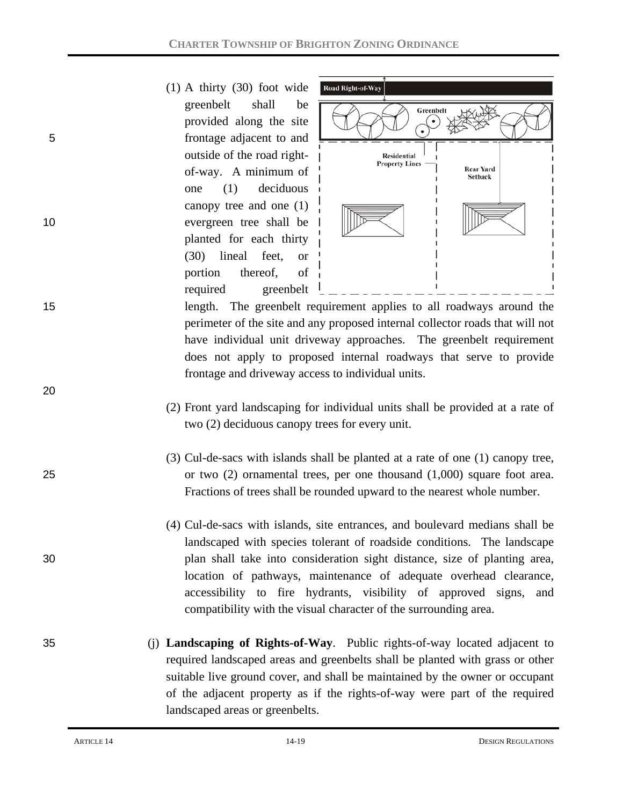(1) A thirty (30) foot wide greenbelt shall be provided along the site 5 frontage adjacent to and outside of the road rightof-way. A minimum of one (1) deciduous canopy tree and one (1) 10 evergreen tree shall be planted for each thirty (30) lineal feet, or portion thereof, of required greenbelt



15 length. The greenbelt requirement applies to all roadways around the perimeter of the site and any proposed internal collector roads that will not have individual unit driveway approaches. The greenbelt requirement does not apply to proposed internal roadways that serve to provide frontage and driveway access to individual units.

- (2) Front yard landscaping for individual units shall be provided at a rate of two (2) deciduous canopy trees for every unit.
- (3) Cul-de-sacs with islands shall be planted at a rate of one (1) canopy tree, 25 or two (2) ornamental trees, per one thousand (1,000) square foot area. Fractions of trees shall be rounded upward to the nearest whole number.
- (4) Cul-de-sacs with islands, site entrances, and boulevard medians shall be landscaped with species tolerant of roadside conditions. The landscape 30 plan shall take into consideration sight distance, size of planting area, location of pathways, maintenance of adequate overhead clearance, accessibility to fire hydrants, visibility of approved signs, and compatibility with the visual character of the surrounding area.
- 35 (j) **Landscaping of Rights-of-Way**. Public rights-of-way located adjacent to required landscaped areas and greenbelts shall be planted with grass or other suitable live ground cover, and shall be maintained by the owner or occupant of the adjacent property as if the rights-of-way were part of the required landscaped areas or greenbelts.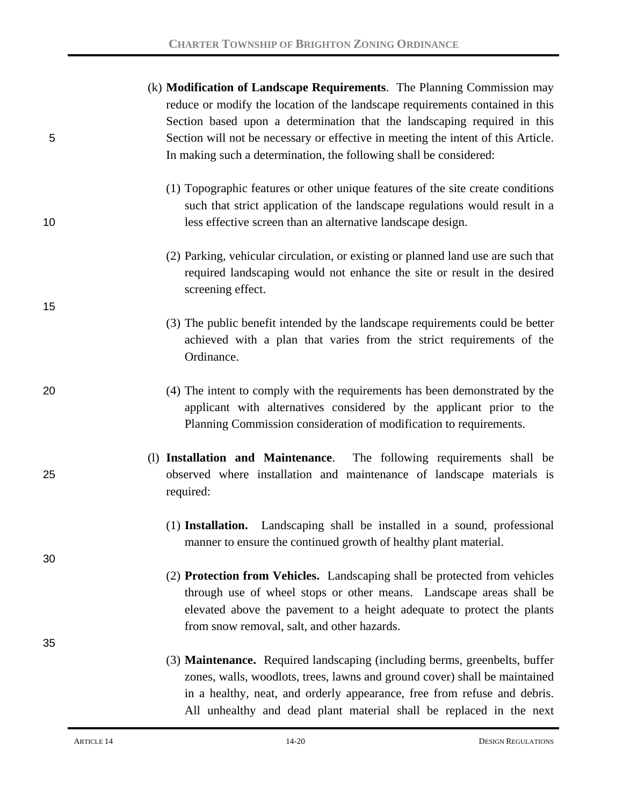|    | (k) <b>Modification of Landscape Requirements</b> . The Planning Commission may                                                            |
|----|--------------------------------------------------------------------------------------------------------------------------------------------|
|    | reduce or modify the location of the landscape requirements contained in this                                                              |
|    | Section based upon a determination that the landscaping required in this                                                                   |
| 5  | Section will not be necessary or effective in meeting the intent of this Article.                                                          |
|    | In making such a determination, the following shall be considered:                                                                         |
|    | (1) Topographic features or other unique features of the site create conditions                                                            |
|    | such that strict application of the landscape regulations would result in a                                                                |
| 10 | less effective screen than an alternative landscape design.                                                                                |
|    | (2) Parking, vehicular circulation, or existing or planned land use are such that                                                          |
|    | required landscaping would not enhance the site or result in the desired<br>screening effect.                                              |
| 15 |                                                                                                                                            |
|    | (3) The public benefit intended by the landscape requirements could be better                                                              |
|    | achieved with a plan that varies from the strict requirements of the                                                                       |
|    | Ordinance.                                                                                                                                 |
| 20 | (4) The intent to comply with the requirements has been demonstrated by the                                                                |
|    | applicant with alternatives considered by the applicant prior to the<br>Planning Commission consideration of modification to requirements. |
|    |                                                                                                                                            |
|    | (1) Installation and Maintenance. The following requirements shall be                                                                      |
| 25 | observed where installation and maintenance of landscape materials is<br>required:                                                         |
|    |                                                                                                                                            |
|    | (1) Installation. Landscaping shall be installed in a sound, professional                                                                  |
| 30 | manner to ensure the continued growth of healthy plant material.                                                                           |
|    | (2) Protection from Vehicles. Landscaping shall be protected from vehicles                                                                 |
|    | through use of wheel stops or other means. Landscape areas shall be                                                                        |
|    | elevated above the pavement to a height adequate to protect the plants                                                                     |
|    | from snow removal, salt, and other hazards.                                                                                                |
| 35 |                                                                                                                                            |
|    | (3) <b>Maintenance.</b> Required landscaping (including berms, greenbelts, buffer                                                          |
|    | zones, walls, woodlots, trees, lawns and ground cover) shall be maintained                                                                 |
|    | in a healthy, neat, and orderly appearance, free from refuse and debris.                                                                   |
|    | All unhealthy and dead plant material shall be replaced in the next                                                                        |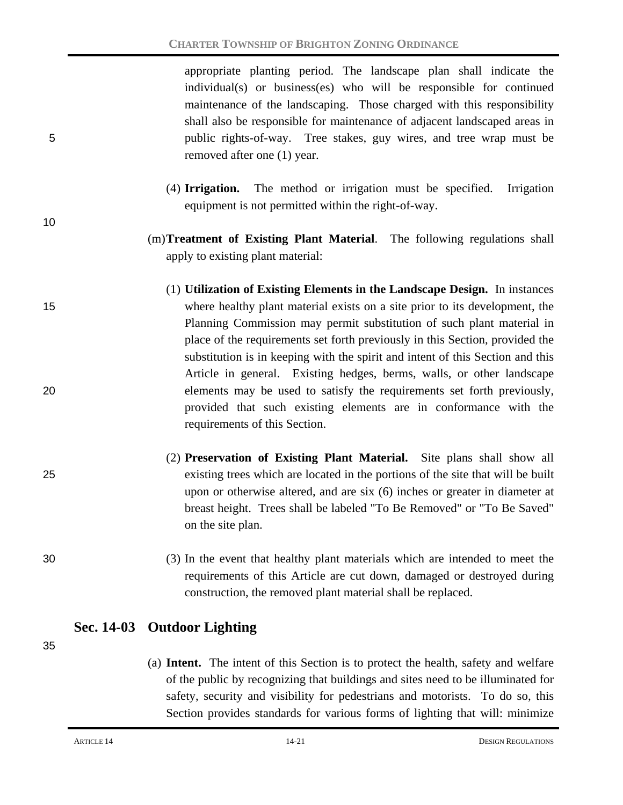appropriate planting period. The landscape plan shall indicate the individual(s) or business(es) who will be responsible for continued maintenance of the landscaping. Those charged with this responsibility shall also be responsible for maintenance of adjacent landscaped areas in 5 public rights-of-way. Tree stakes, guy wires, and tree wrap must be removed after one (1) year.

- (4) **Irrigation.** The method or irrigation must be specified. Irrigation equipment is not permitted within the right-of-way.
- (m)**Treatment of Existing Plant Material**. The following regulations shall apply to existing plant material:
- (1) **Utilization of Existing Elements in the Landscape Design.** In instances 15 where healthy plant material exists on a site prior to its development, the Planning Commission may permit substitution of such plant material in place of the requirements set forth previously in this Section, provided the substitution is in keeping with the spirit and intent of this Section and this Article in general. Existing hedges, berms, walls, or other landscape 20 elements may be used to satisfy the requirements set forth previously, provided that such existing elements are in conformance with the requirements of this Section.
- (2) **Preservation of Existing Plant Material.** Site plans shall show all 25 existing trees which are located in the portions of the site that will be built upon or otherwise altered, and are six (6) inches or greater in diameter at breast height. Trees shall be labeled "To Be Removed" or "To Be Saved" on the site plan.
- 30 (3) In the event that healthy plant materials which are intended to meet the requirements of this Article are cut down, damaged or destroyed during construction, the removed plant material shall be replaced.

## **Sec. 14-03 Outdoor Lighting**

35

10

(a) **Intent.** The intent of this Section is to protect the health, safety and welfare of the public by recognizing that buildings and sites need to be illuminated for safety, security and visibility for pedestrians and motorists. To do so, this Section provides standards for various forms of lighting that will: minimize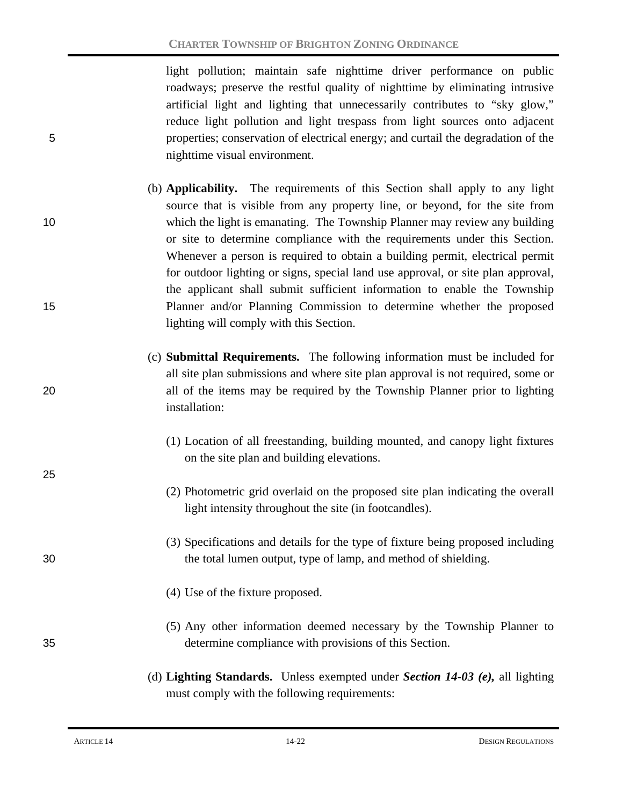light pollution; maintain safe nighttime driver performance on public roadways; preserve the restful quality of nighttime by eliminating intrusive artificial light and lighting that unnecessarily contributes to "sky glow," reduce light pollution and light trespass from light sources onto adjacent 5 properties; conservation of electrical energy; and curtail the degradation of the nighttime visual environment.

- (b) **Applicability.** The requirements of this Section shall apply to any light source that is visible from any property line, or beyond, for the site from 10 which the light is emanating. The Township Planner may review any building or site to determine compliance with the requirements under this Section. Whenever a person is required to obtain a building permit, electrical permit for outdoor lighting or signs, special land use approval, or site plan approval, the applicant shall submit sufficient information to enable the Township 15 Planner and/or Planning Commission to determine whether the proposed lighting will comply with this Section.
- (c) **Submittal Requirements.** The following information must be included for all site plan submissions and where site plan approval is not required, some or 20 all of the items may be required by the Township Planner prior to lighting installation:
	- (1) Location of all freestanding, building mounted, and canopy light fixtures on the site plan and building elevations.
	- (2) Photometric grid overlaid on the proposed site plan indicating the overall light intensity throughout the site (in footcandles).
- (3) Specifications and details for the type of fixture being proposed including 30 the total lumen output, type of lamp, and method of shielding.
	- (4) Use of the fixture proposed.
- (5) Any other information deemed necessary by the Township Planner to 35 determine compliance with provisions of this Section.
	- (d) **Lighting Standards.** Unless exempted under *Section 14-03 (e),* all lighting must comply with the following requirements: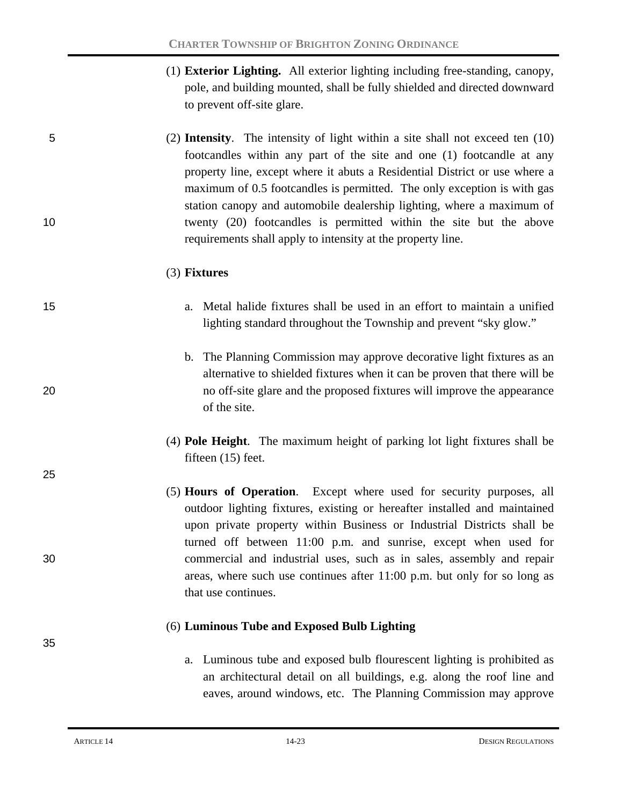(1) **Exterior Lighting.** All exterior lighting including free-standing, canopy, pole, and building mounted, shall be fully shielded and directed downward to prevent off-site glare.

5 (2) **Intensity**. The intensity of light within a site shall not exceed ten (10) footcandles within any part of the site and one (1) footcandle at any property line, except where it abuts a Residential District or use where a maximum of 0.5 footcandles is permitted. The only exception is with gas station canopy and automobile dealership lighting, where a maximum of 10 twenty (20) footcandles is permitted within the site but the above requirements shall apply to intensity at the property line.

#### (3) **Fixtures**

- 15 a. Metal halide fixtures shall be used in an effort to maintain a unified lighting standard throughout the Township and prevent "sky glow."
- b. The Planning Commission may approve decorative light fixtures as an alternative to shielded fixtures when it can be proven that there will be 20 no off-site glare and the proposed fixtures will improve the appearance of the site.
	- (4) **Pole Height**. The maximum height of parking lot light fixtures shall be fifteen (15) feet.
- (5) **Hours of Operation**. Except where used for security purposes, all outdoor lighting fixtures, existing or hereafter installed and maintained upon private property within Business or Industrial Districts shall be turned off between 11:00 p.m. and sunrise, except when used for 30 commercial and industrial uses, such as in sales, assembly and repair areas, where such use continues after 11:00 p.m. but only for so long as that use continues.

#### (6) **Luminous Tube and Exposed Bulb Lighting**

a. Luminous tube and exposed bulb flourescent lighting is prohibited as an architectural detail on all buildings, e.g. along the roof line and eaves, around windows, etc. The Planning Commission may approve

25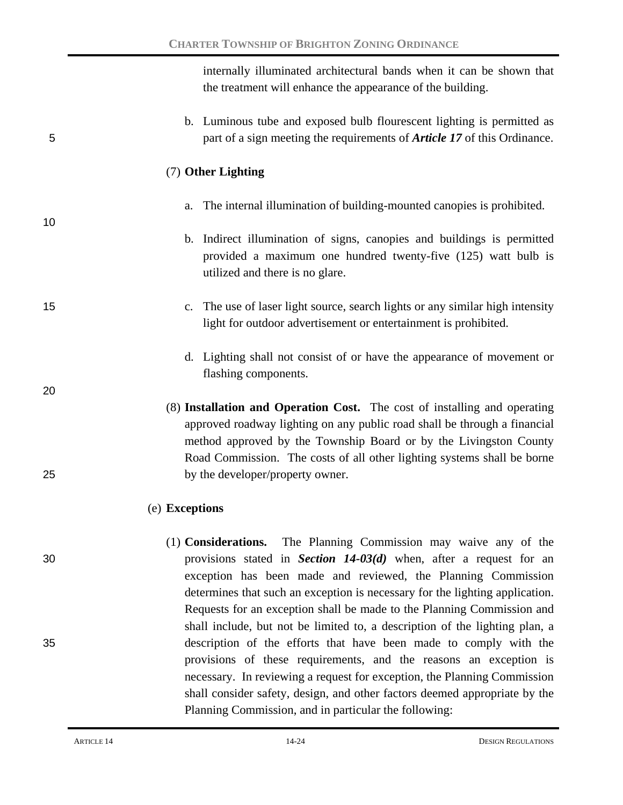internally illuminated architectural bands when it can be shown that the treatment will enhance the appearance of the building.

b. Luminous tube and exposed bulb flourescent lighting is permitted as 5 part of a sign meeting the requirements of *Article 17* of this Ordinance.

### (7) **Other Lighting**

- a. The internal illumination of building-mounted canopies is prohibited.
- b. Indirect illumination of signs, canopies and buildings is permitted provided a maximum one hundred twenty-five (125) watt bulb is utilized and there is no glare.
- 15 c. The use of laser light source, search lights or any similar high intensity light for outdoor advertisement or entertainment is prohibited.
	- d. Lighting shall not consist of or have the appearance of movement or flashing components.
- (8) **Installation and Operation Cost.** The cost of installing and operating approved roadway lighting on any public road shall be through a financial method approved by the Township Board or by the Livingston County Road Commission. The costs of all other lighting systems shall be borne 25 by the developer/property owner.

## (e) **Exceptions**

(1) **Considerations.** The Planning Commission may waive any of the 30 provisions stated in *Section 14-03(d)* when, after a request for an exception has been made and reviewed, the Planning Commission determines that such an exception is necessary for the lighting application. Requests for an exception shall be made to the Planning Commission and shall include, but not be limited to, a description of the lighting plan, a 35 description of the efforts that have been made to comply with the provisions of these requirements, and the reasons an exception is necessary. In reviewing a request for exception, the Planning Commission shall consider safety, design, and other factors deemed appropriate by the Planning Commission, and in particular the following:

10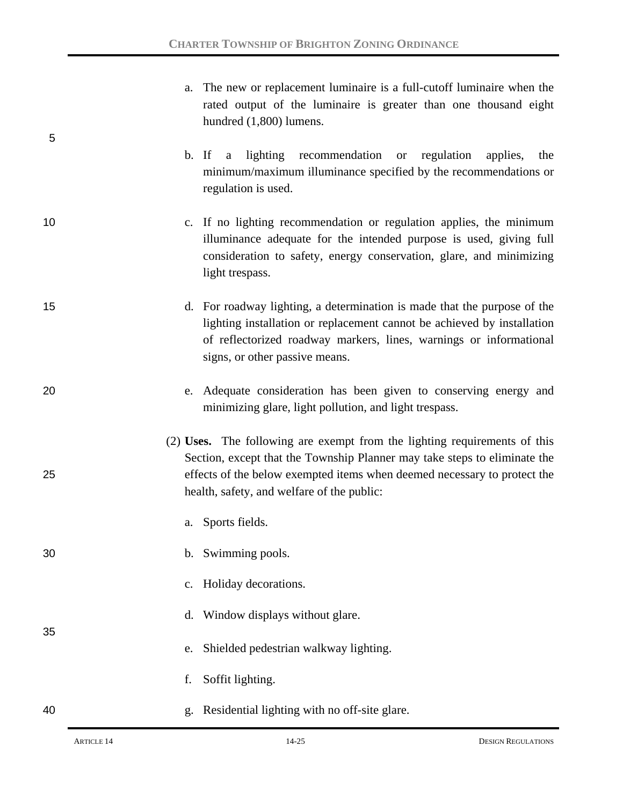|    | a. The new or replacement luminaire is a full-cutoff luminaire when the<br>rated output of the luminaire is greater than one thousand eight<br>hundred (1,800) lumens.                                                                                                           |
|----|----------------------------------------------------------------------------------------------------------------------------------------------------------------------------------------------------------------------------------------------------------------------------------|
| 5  | b. If<br>lighting<br>recommendation or<br>regulation<br>applies,<br>the<br>a<br>minimum/maximum illuminance specified by the recommendations or<br>regulation is used.                                                                                                           |
| 10 | c. If no lighting recommendation or regulation applies, the minimum<br>illuminance adequate for the intended purpose is used, giving full<br>consideration to safety, energy conservation, glare, and minimizing<br>light trespass.                                              |
| 15 | d. For roadway lighting, a determination is made that the purpose of the<br>lighting installation or replacement cannot be achieved by installation<br>of reflectorized roadway markers, lines, warnings or informational<br>signs, or other passive means.                      |
| 20 | Adequate consideration has been given to conserving energy and<br>e.<br>minimizing glare, light pollution, and light trespass.                                                                                                                                                   |
| 25 | (2) Uses. The following are exempt from the lighting requirements of this<br>Section, except that the Township Planner may take steps to eliminate the<br>effects of the below exempted items when deemed necessary to protect the<br>health, safety, and welfare of the public: |
|    | a. Sports fields.                                                                                                                                                                                                                                                                |
| 30 | b. Swimming pools.                                                                                                                                                                                                                                                               |
|    | c. Holiday decorations.                                                                                                                                                                                                                                                          |
| 35 | Window displays without glare.<br>d.                                                                                                                                                                                                                                             |
|    | Shielded pedestrian walkway lighting.<br>e.                                                                                                                                                                                                                                      |
|    | Soffit lighting.<br>f.                                                                                                                                                                                                                                                           |
| 40 | Residential lighting with no off-site glare.<br>g.                                                                                                                                                                                                                               |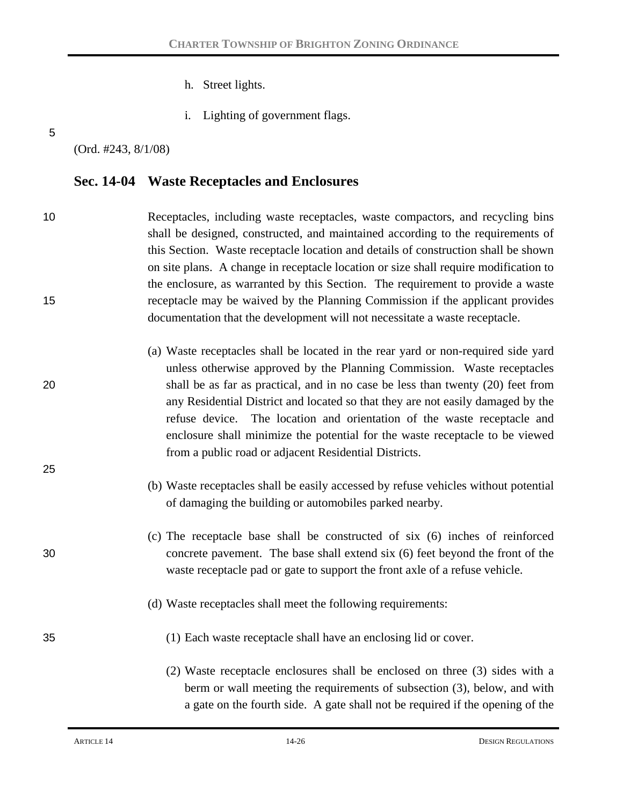- h. Street lights.
- i. Lighting of government flags.

5

(Ord. #243, 8/1/08)

# **Sec. 14-04 Waste Receptacles and Enclosures**

| 10 | Receptacles, including waste receptacles, waste compactors, and recycling bins<br>shall be designed, constructed, and maintained according to the requirements of<br>this Section. Waste receptacle location and details of construction shall be shown<br>on site plans. A change in receptacle location or size shall require modification to<br>the enclosure, as warranted by this Section. The requirement to provide a waste                                                            |
|----|-----------------------------------------------------------------------------------------------------------------------------------------------------------------------------------------------------------------------------------------------------------------------------------------------------------------------------------------------------------------------------------------------------------------------------------------------------------------------------------------------|
| 15 | receptacle may be waived by the Planning Commission if the applicant provides<br>documentation that the development will not necessitate a waste receptacle.                                                                                                                                                                                                                                                                                                                                  |
| 20 | (a) Waste receptacles shall be located in the rear yard or non-required side yard<br>unless otherwise approved by the Planning Commission. Waste receptacles<br>shall be as far as practical, and in no case be less than twenty (20) feet from<br>any Residential District and located so that they are not easily damaged by the<br>refuse device. The location and orientation of the waste receptacle and<br>enclosure shall minimize the potential for the waste receptacle to be viewed |
| 25 | from a public road or adjacent Residential Districts.<br>(b) Waste receptacles shall be easily accessed by refuse vehicles without potential<br>of damaging the building or automobiles parked nearby.                                                                                                                                                                                                                                                                                        |
| 30 | (c) The receptacle base shall be constructed of six (6) inches of reinforced<br>concrete pavement. The base shall extend six (6) feet beyond the front of the<br>waste receptacle pad or gate to support the front axle of a refuse vehicle.                                                                                                                                                                                                                                                  |
|    | (d) Waste receptacles shall meet the following requirements:                                                                                                                                                                                                                                                                                                                                                                                                                                  |
| 35 | (1) Each waste receptacle shall have an enclosing lid or cover.                                                                                                                                                                                                                                                                                                                                                                                                                               |
|    | (2) Waste receptacle enclosures shall be enclosed on three (3) sides with a<br>berm or wall meeting the requirements of subsection (3), below, and with                                                                                                                                                                                                                                                                                                                                       |

a gate on the fourth side. A gate shall not be required if the opening of the